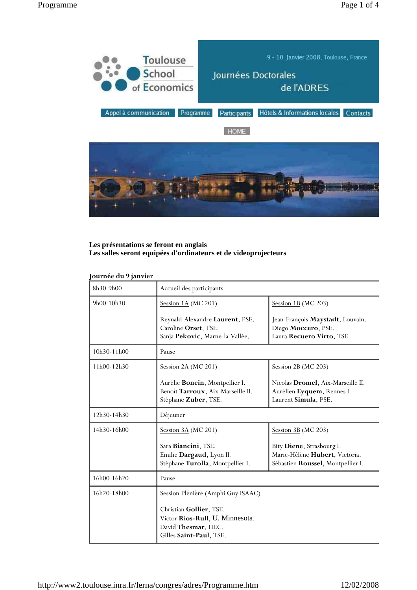

# **Les présentations se feront en anglais Les salles seront equipées d'ordinateurs et de videoprojecteurs**

## **Journée du 9 janvier**

| 8h30-9h00   | Accueil des participants                                                                                     |                                                                                                  |
|-------------|--------------------------------------------------------------------------------------------------------------|--------------------------------------------------------------------------------------------------|
| 9h00-10h30  | Session $1A$ (MC 201)                                                                                        | Session 1B ( $MC$ 203)                                                                           |
|             | Reynald-Alexandre Laurent, PSE.<br>Caroline Orset, TSE.<br>Sanja Pekovic, Marne-la-Vallée.                   | Jean-François Maystadt, Louvain.<br>Diego Moccero, PSE.<br>Laura Recuero Virto, TSE.             |
| 10h30-11h00 | Pause                                                                                                        |                                                                                                  |
| 11h00-12h30 | Session $2A$ (MC 201)                                                                                        | Session $2B$ (MC 203)                                                                            |
|             | Aurélie Bonein, Montpellier I.<br>Benoît Tarroux, Aix-Marseille II.<br>Stéphane Zuber, TSE.                  | Nicolas Dromel, Aix-Marseille II.<br>Aurélien Eyquem, Rennes I.<br>Laurent Simula, PSE.          |
| 12h30-14h30 | Déjeuner                                                                                                     |                                                                                                  |
| 14h30-16h00 | Session 3A (MC 201)                                                                                          | Session $3B$ (MC 203)                                                                            |
|             | Sara Biancini, TSE.<br>Emilie Dargaud, Lyon II.<br>Stéphane Turolla, Montpellier I.                          | Bity Diene, Strasbourg I.<br>Marie-Hélène Hubert, Victoria.<br>Sébastien Roussel, Montpellier I. |
| 16h00-16h20 | Pause                                                                                                        |                                                                                                  |
| 16h20-18h00 | Session Plénière (Amphi Guy ISAAC)                                                                           |                                                                                                  |
|             | Christian Gollier, TSE.<br>Victor Rios-Rull, U. Minnesota.<br>David Thesmar, HEC.<br>Gilles Saint-Paul, TSE. |                                                                                                  |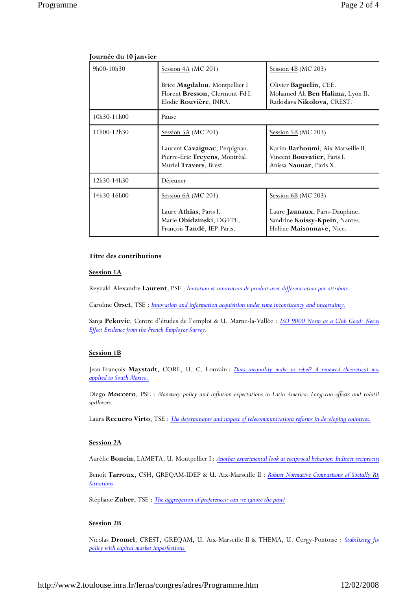| 18.14        |                                                                                            |                                                                                                                     |  |
|--------------|--------------------------------------------------------------------------------------------|---------------------------------------------------------------------------------------------------------------------|--|
| $9h00-10h30$ | Session $4A$ (MC 201)                                                                      | Session $4B$ (MC 203)                                                                                               |  |
|              | Brice Magdalou, Montpellier I<br>Florent Bresson, Clermont-Fd I.<br>Elodie Rouvière, INRA. | Olivier Baguelin, CEE.<br>Mohamed Ali Ben Halima, Lyon II.<br>Radoslava Nikolova, CREST.                            |  |
| 10h30-11h00  | Pause                                                                                      |                                                                                                                     |  |
| 11h00-12h30  | Session 5A (MC 201)                                                                        | Session 5B ( $MC$ 203)                                                                                              |  |
|              | Laurent Cavaignac, Perpignan.<br>Pierre-Eric Treyens, Montréal.<br>Muriel Travers, Brest.  | Karim <b>Barhoumi</b> , Aix Marseille II.<br>Vincent <b>Bouvatier</b> , Paris I.<br>Anissa <b>Naouar</b> , Paris X. |  |
| 12h30-14h30  | Déjeuner                                                                                   |                                                                                                                     |  |
| 14h30-16h00  | Session 6A (MC 201)                                                                        | Session $6B$ (MC 203)                                                                                               |  |
|              | Laure Athias, Paris I.<br>Marie Obidzinski, DGTPE.<br>François Tandé, IEP-Paris.           | Laure Jaunaux, Paris-Dauphine.<br>Sandrine Koissy-Kpein, Nantes.<br>Hélène Maisonnave, Nice.                        |  |

## **Journée du 10 janvier**

#### **Titre des contributions**

#### **Session 1A**

Reynald-Alexandre **Laurent**, PSE : *Imitation et innovation de produit avec différenciation par attributs.*

Caroline **Orset**, TSE : *Innovation and information acquisition under time inconsistency and uncertainty.*

Sanja **Pekovic**, Centre d'études de l'emploi & U. Marne-la-Vallée : *ISO 9000 Norm as a Club Good: Netwo Effect Evidence from the French Employer Survey.*

#### **Session 1B**

Jean-François Maystadt, CORE, U. C. Louvain : *Does inequality make us rebel? A renewed theoretical mode applied to South Mexico.*

Diego **Moccero**, PSE : *Monetary policy and inflation expectations in Latin America: Long-run effects and volatil spillovers.*

Laura **Recuero Virto**, TSE : *The determinants and impact of telecommunications reforms in developing countries.*

### **Session 2A**

Aurélie **Bonein**, LAMETA, U. Montpellier I : *Another experimental look at reciprocal behavior: Indirect reciprocity*

Benoît **Tarroux**, CSH, GREQAM-IDEP & U. Aix-Marseille II : *Robust Normative Comparisons of Socially Ris Situations*

Stéphane **Zuber**, TSE : *The aggregation of preferences: can we ignore the past?*

### **Session 2B**

Nicolas **Dromel**, CREST, GREQAM, U. Aix-Marseille II & THEMA, U. Cergy-Pontoise : *Stabilizing fisc policy with capital market imperfections.*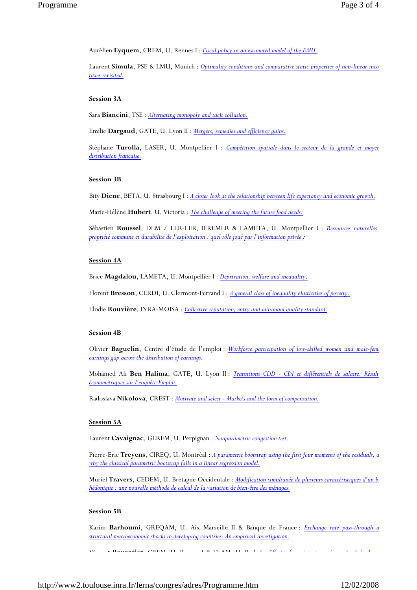Aurélien **Eyquem**, CREM, U. Rennes I : *Fiscal policy in an estimated model of the EMU.*

Laurent **Simula**, PSE & LMU, Munich : *Optimality conditions and comparative static properties of non-linear inco taxes revisited.*

#### **Session 3A**

*p y p pf*

Sara **Biancini**, TSE : *Alternating monopoly and tacit collusion.*

Emilie **Dargaud**, GATE, U. Lyon II : *Mergers, remedies and efficiency gains.*

Stéphane **Turolla**, LASER, U. Montpellier I : *Compétition spatiale dans le secteur de la grande et moyen distribution française.*

### **Session 3B**

Bity **Diene**, BETA, U. Strasbourg I : *A closer look at the relationship between life expectancy and economic growth.*

Marie-Hélène **Hubert**, U. Victoria : *The challenge of meeting the future food needs*.

Sébastien **Roussel**, DEM / LER-LER, IFREMER & LAMETA, U. Montpellier I : *Ressources naturelles propriété commune et durabilité de l'exploitation : quel rôle joué par l'information privée ?*

#### **Session 4A**

Brice **Magdalou**, LAMETA, U. Montpellier I : *Deprivation, welfare and inequality*.

Florent **Bresson**, CERDI, U. Clermont-Ferrand I : *A general class of inequality elasticities of poverty.*

Elodie **Rouvière**, INRA-MOISA : *Collective reputation, entry and minimum quality standard.*

### **Session 4B**

Olivier **Baguelin**, Centre d'étude de l'emploi : *Workforce participation of low-skilled women and male-fema earnings gap across the distribution of earnings.*

Mohamed Ali **Ben Halima**, GATE, U. Lyon II : *Transitions CDD - CDI et différentiels de salaire: Résult économétriques sur l'enquête Emploi.*

Radoslava **Nikolova**, CREST : *Motivate and select - Markets and the form of compensation.*

#### **Session 5A**

Laurent **Cavaignac**, GEREM, U. Perpignan : *Nonparametric congestion test*.

Pierre-Eric **Treyens**, CIREQ, U. Montréal : *A parametric bootstrap using the first four moments of the residuals, a why the classical parametric bootstrap fails in a linear regression model.*

Muriel **Travers**, CEDEM, U. Bretagne Occidentale *: Modification simultanée de plusieurs caractéristiques d'un bi hédonique : une nouvelle méthode de calcul de la variation de bien-être des ménages.*

#### **Session 5B**

Karim **Barhoumi**, GREQAM, U. Aix Marseille II & Banque de France : *Exchange rate pass-through a structural macroeconomic shocks in developing countries: An empirical investigation.*

Vi t **Bouvatier** CREM U R I & TEAM U P i I *Eff t f i i i l b k l di*